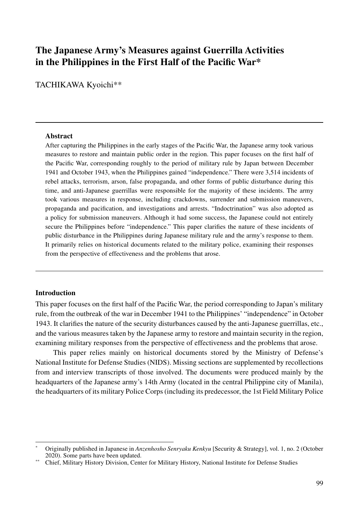# **The Japanese Army's Measures against Guerrilla Activities in the Philippines in the First Half of the Pacific War\***

TACHIKAWA Kyoichi\*\*

#### **Abstract**

After capturing the Philippines in the early stages of the Pacific War, the Japanese army took various measures to restore and maintain public order in the region. This paper focuses on the first half of the Pacific War, corresponding roughly to the period of military rule by Japan between December 1941 and October 1943, when the Philippines gained "independence." There were 3,514 incidents of rebel attacks, terrorism, arson, false propaganda, and other forms of public disturbance during this time, and anti-Japanese guerrillas were responsible for the majority of these incidents. The army took various measures in response, including crackdowns, surrender and submission maneuvers, propaganda and pacification, and investigations and arrests. "Indoctrination" was also adopted as a policy for submission maneuvers. Although it had some success, the Japanese could not entirely secure the Philippines before "independence." This paper clarifies the nature of these incidents of public disturbance in the Philippines during Japanese military rule and the army's response to them. It primarily relies on historical documents related to the military police, examining their responses from the perspective of effectiveness and the problems that arose.

## **Introduction**

This paper focuses on the first half of the Pacific War, the period corresponding to Japan's military rule, from the outbreak of the war in December 1941 to the Philippines' "independence" in October 1943. It clarifies the nature of the security disturbances caused by the anti-Japanese guerrillas, etc., and the various measures taken by the Japanese army to restore and maintain security in the region, examining military responses from the perspective of effectiveness and the problems that arose.

This paper relies mainly on historical documents stored by the Ministry of Defense's National Institute for Defense Studies (NIDS). Missing sections are supplemented by recollections from and interview transcripts of those involved. The documents were produced mainly by the headquarters of the Japanese army's 14th Army (located in the central Philippine city of Manila), the headquarters of its military Police Corps (including its predecessor, the 1st Field Military Police

<sup>\*</sup> Originally published in Japanese in *Anzenhosho Senryaku Kenkyu* [Security & Strategy], vol. 1, no. 2 (October 2020). Some parts have been updated.

<sup>\*\*</sup> Chief, Military History Division, Center for Military History, National Institute for Defense Studies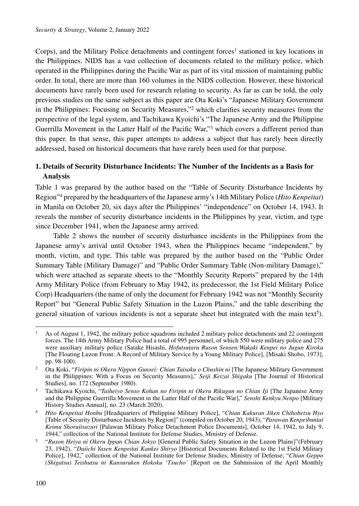Corps), and the Military Police detachments and contingent forces<sup>1</sup> stationed in key locations in the Philippines. NIDS has a vast collection of documents related to the military police, which operated in the Philippines during the Pacific War as part of its vital mission of maintaining public order. In total, there are more than 160 volumes in the NIDS collection. However, these historical documents have rarely been used for research relating to security. As far as can be told, the only previous studies on the same subject as this paper are Ota Koki's "Japanese Military Government in the Philippines: Focusing on Security Measures,"2 which clarifies security measures from the perspective of the legal system, and Tachikawa Kyoichi's "The Japanese Army and the Philippine Guerrilla Movement in the Latter Half of the Pacific War,"3 which covers a different period than this paper. In that sense, this paper attempts to address a subject that has rarely been directly addressed, based on historical documents that have rarely been used for that purpose.

# **1. Details of Security Disturbance Incidents: The Number of the Incidents as a Basis for Analysis**

Table 1 was prepared by the author based on the "Table of Security Disturbance Incidents by Region"4 prepared by the headquarters of the Japanese army's 14th Military Police (*Hito Kenpeitai*) in Manila on October 20, six days after the Philippines' "independence" on October 14, 1943. It reveals the number of security disturbance incidents in the Philippines by year, victim, and type since December 1941, when the Japanese army arrived.

Table 2 shows the number of security disturbance incidents in the Philippines from the Japanese army's arrival until October 1943, when the Philippines became "independent," by month, victim, and type. This table was prepared by the author based on the "Public Order Summary Table (Military Damage)" and "Public Order Summary Table (Non-military Damage)," which were attached as separate sheets to the "Monthly Security Reports" prepared by the 14th Army Military Police (from February to May 1942, its predecessor, the 1st Field Military Police Corp) Headquarters (the name of only the document for February 1942 was not "Monthly Security Report" but "General Public Safety Situation in the Luzon Plains," and the table describing the general situation of various incidents is not a separate sheet but integrated with the main text5).

<sup>1</sup> As of August 1, 1942, the military police squadrons included 2 military police detachments and 22 contingent forces. The 14th Army Military Police had a total of 995 personnel, of which 550 were military police and 275 were auxiliary military police (Satake Hisashi, *Hofutsutaru Ruson Sensen:Wakaki Kenpei no Jugun Kiroku* [The Floating Luzon Front: A Record of Military Service by a Young Military Police], [Misaki Shobo, 1973], pp. 98-100).

<sup>2</sup> Ota Koki, "*Firipin ni Okeru Nippon Gunsei: Chian Taisaku o Chushin ni* [The Japanese Military Government in the Philippines: With a Focus on Security Measures]," *Seiji Keizai Shigaku* [The Journal of Historical Studies], no. 172 (September 1980).

<sup>3</sup> Tachikawa Kyoichi, "*Taiheiyo Senso Kohan no Firipin ni Okeru Rikugun no Chian Iji* [The Japanese Army and the Philippine Guerrilla Movement in the Latter Half of the Pacific War]," *Senshi Kenkyu Nenpo* [Military History Studies Annual], no. 23 (March 2020).

<sup>4</sup> *Hito Kenpeitai Honbu* [Headquarters of Philippine Military Police], "*Chian Kakuran Jiken Chihobetsu Hyo* [Table of Security Disturbance Incidents by Region]" (compiled on October 20, 1943), "*Parawan Kenpeibuntai Keimu Shoruitsuzuri* [Palawan Military Police Detachment Police Documents], October 14, 1942, to July 9, 1944," collection of the National Institute for Defense Studies, Ministry of Defense.

<sup>5</sup> "*Ruson Heiya ni Okeru Ippan Chian Jokyo* [General Public Safety Situation in the Luzon Plains]"(February 23, 1942), "*Daiichi Yasen Kenpeitai Kankei Shiryo* [Historical Documents Related to the 1st Field Military Police], 1942," collection of the National Institute for Defense Studies, Ministry of Defense; "*Chian Geppo (Shigatsu) Teishutsu ni Kansuruken Hokoku 'Tsucho'* [Report on the Submission of the April Monthly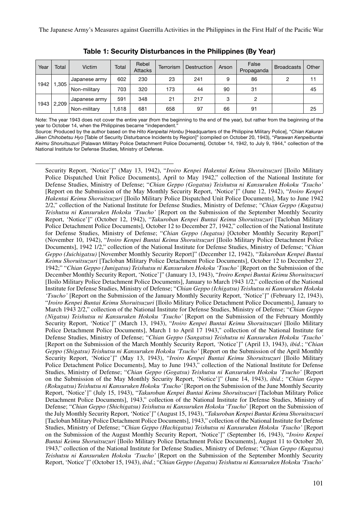| Year | Total | Victim        | Total | Rebel<br><b>Attacks</b> | Terrorism | <b>Destruction</b> | Arson | False<br>Propaganda | <b>Broadcasts</b> | Other |
|------|-------|---------------|-------|-------------------------|-----------|--------------------|-------|---------------------|-------------------|-------|
| 1942 | .305  | Japanese army | 602   | 230                     | 23        | 241                | 9     | 86                  | っ                 | 11    |
|      |       | Non-military  | 703   | 320                     | 173       | 44                 | 90    | 31                  |                   | 45    |
| 1943 | 2,209 | Japanese army | 591   | 348                     | 21        | 217                | 3     | 2                   |                   |       |
|      |       | Non-military  | .618  | 681                     | 658       | 97                 | 66    | 91                  |                   | 25    |

Table 1: Security Disturbances in the Philippines (By Year)

Note: The year 1943 does not cover the entire year (from the beginning to the end of the year), but rather from the beginning of the year to October 14, when the Philippines became "independent."

Source: Produced by the author based on the *Hito Kenpeitai Honbu* [Headquarters of the Philippine Military Police], "*Chian Kakuran Jiken Chihobetsu Hyo* [Table of Security Disturbance Incidents by Region]" (compiled on October 20, 1943), "*Parawan Kenpeibuntai Keimu Shoruitsuzuri* [Palawan Military Police Detachment Police Documents], October 14, 1942, to July 9, 1944," collection of the National Institute for Defense Studies, Ministry of Defense.

Security Report, 'Notice']" (May 13, 1942), "*Iroiro Kenpei Hakentai Keimu Shoruitsuzuri* [Iloilo Military Police Dispatched Unit Police Documents], April to May 1942," collection of the National Institute for Defense Studies, Ministry of Defense; "*Chian Geppo (Gogatsu) Teishutsu ni Kansuruken Hokoku 'Tsucho'* [Report on the Submission of the May Monthly Security Report, 'Notice']" (June 12, 1942), "*Iroiro Kenpei Hakentai Keimu Shoruitsuzuri* [Iloilo Military Police Dispatched Unit Police Documents], May to June 1942 2/2," collection of the National Institute for Defense Studies, Ministry of Defense; "*Chian Geppo (Kugatsu) Teishutsu ni Kansuruken Hokoku 'Tsucho'* [Report on the Submission of the September Monthly Security Report, 'Notice']" (October 12, 1942), "*Takuroban Kenpei Buntai Keimu Shoruitsuzuri* [Tacloban Military Police Detachment Police Documents], October 12 to December 27, 1942," collection of the National Institute for Defense Studies, Ministry of Defense; "*Chian Geppo (Jugatsu)* [October Monthly Security Report]" (November 10, 1942), "*Iroiro Kenpei Buntai Keimu Shoruitsuzuri* [Iloilo Military Police Detachment Police Documents], 1942 1/2," collection of the National Institute for Defense Studies, Ministry of Defense; "*Chian Geppo (Juichigatsu)* [November Monthly Security Report]" (December 12, 1942), "*Takuroban Kenpei Buntai Keimu Shoruitsuzuri* [Tacloban Military Police Detachment Police Documents], October 12 to December 27, 1942;" "*Chian Geppo (Junigatsu) Teishutsu ni Kansuruken Hokoku 'Tsucho'* [Report on the Submission of the December Monthly Security Report, 'Notice']" (January 13, 1943), "*Iroiro Kenpei Buntai Keimu Shoruitsuzuri* [Iloilo Military Police Detachment Police Documents], January to March 1943 1/2," collection of the National Institute for Defense Studies, Ministry of Defense; "*Chian Geppo (Ichigatsu) Teishutsu ni Kansuruken Hokoku 'Tsucho'* [Report on the Submission of the January Monthly Security Report, 'Notice']" (February 12, 1943), "*Iroiro Kenpei Buntai Keimu Shoruitsuzuri* [Iloilo Military Police Detachment Police Documents], January to March 1943 2/2," collection of the National Institute for Defense Studies, Ministry of Defense; "*Chian Geppo (Nigatsu) Teishutsu ni Kansuruken Hokoku 'Tsucho'* [Report on the Submission of the February Monthly Security Report, 'Notice']" (March 13, 1943), "*Iroiro Kenpei Buntai Keimu Shoruitsuzuri* [Iloilo Military Police Detachment Police Documents], March 1 to April 17 1943," collection of the National Institute for Defense Studies, Ministry of Defense; "*Chian Geppo (Sangatsu) Teishutsu ni Kansuruken Hokoku 'Tsucho'* [Report on the Submission of the March Monthly Security Report, 'Notice']" (April 13, 1943), *ibid*.; "*Chian Geppo (Shigatsu) Teishutsu ni Kansuruken Hokoku 'Tsucho'* [Report on the Submission of the April Monthly Security Report, 'Notice']" (May 13, 1943), "*Iroiro Kenpei Buntai Keimu Shoruitsuzuri* [Iloilo Military Police Detachment Police Documents], May to June 1943," collection of the National Institute for Defense Studies, Ministry of Defense; "*Chian Geppo (Gogatsu) Teishutsu ni Kansuruken Hokoku 'Tsucho'* [Report on the Submission of the May Monthly Security Report, 'Notice']" (June 14, 1943), *ibid*.; "*Chian Geppo (Rokugatsu) Teishutsu ni Kansuruken Hokoku 'Tsucho'* [Report on the Submission of the June Monthly Security Report, 'Notice']" (July 15, 1943), "*Takuroban Kenpei Buntai Keimu Shoruitsuzuri* [Tacloban Military Police Detachment Police Documents], 1943," collection of the National Institute for Defense Studies, Ministry of Defense; "*Chian Geppo (Shichigatsu) Teishutsu ni Kansuruken Hokoku* '*Tsucho*' [Report on the Submission of the July Monthly Security Report, 'Notice']" (August 15, 1943), "*Takuroban Kenpei Buntai Keimu Shoruitsuzuri* [Tacloban Military Police Detachment Police Documents], 1943," collection of the National Institute for Defense Studies, Ministry of Defense; "*Chian Geppo (Hachigatsu) Teishutsu ni Kansuruken Hokoku 'Tsucho'* [Report on the Submission of the August Monthly Security Report, 'Notice']" (September 16, 1943), "*Iroiro Kenpei Buntai Keimu Shoruitsuzuri* [Iloilo Military Police Detachment Police Documents], August 11 to October 20, 1943," collection of the National Institute for Defense Studies, Ministry of Defense; "*Chian Geppo (Kugatsu) Teishutsu ni Kansuruken Hokoku 'Tsucho'* [Report on the Submission of the September Monthly Security Report, 'Notice']" (October 15, 1943), *ibid*.; "*Chian Geppo (Jugatsu) Teishutsu ni Kansuruken Hokoku 'Tsucho'*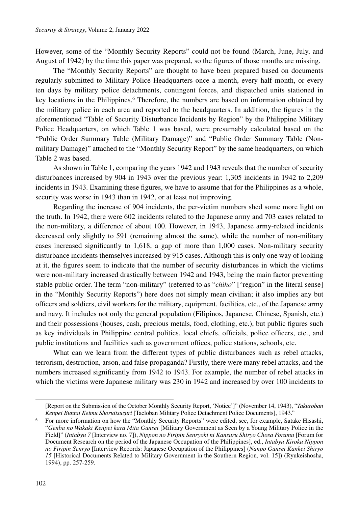However, some of the "Monthly Security Reports" could not be found (March, June, July, and August of 1942) by the time this paper was prepared, so the figures of those months are missing.

The "Monthly Security Reports" are thought to have been prepared based on documents regularly submitted to Military Police Headquarters once a month, every half month, or every ten days by military police detachments, contingent forces, and dispatched units stationed in key locations in the Philippines.<sup>6</sup> Therefore, the numbers are based on information obtained by the military police in each area and reported to the headquarters. In addition, the figures in the aforementioned "Table of Security Disturbance Incidents by Region" by the Philippine Military Police Headquarters, on which Table 1 was based, were presumably calculated based on the "Public Order Summary Table (Military Damage)" and "Public Order Summary Table (Nonmilitary Damage)" attached to the "Monthly Security Report" by the same headquarters, on which Table 2 was based.

As shown in Table 1, comparing the years 1942 and 1943 reveals that the number of security disturbances increased by 904 in 1943 over the previous year: 1,305 incidents in 1942 to 2,209 incidents in 1943. Examining these figures, we have to assume that for the Philippines as a whole, security was worse in 1943 than in 1942, or at least not improving.

Regarding the increase of 904 incidents, the per-victim numbers shed some more light on the truth. In 1942, there were 602 incidents related to the Japanese army and 703 cases related to the non-military, a difference of about 100. However, in 1943, Japanese army-related incidents decreased only slightly to 591 (remaining almost the same), while the number of non-military cases increased significantly to 1,618, a gap of more than 1,000 cases. Non-military security disturbance incidents themselves increased by 915 cases. Although this is only one way of looking at it, the figures seem to indicate that the number of security disturbances in which the victims were non-military increased drastically between 1942 and 1943, being the main factor preventing stable public order. The term "non-military" (referred to as "*chiho*" ["region" in the literal sense] in the "Monthly Security Reports") here does not simply mean civilian; it also implies any but officers and soldiers, civil workers for the military, equipment, facilities, etc., of the Japanese army and navy. It includes not only the general population (Filipinos, Japanese, Chinese, Spanish, etc.) and their possessions (houses, cash, precious metals, food, clothing, etc.), but public figures such as key individuals in Philippine central politics, local chiefs, officials, police officers, etc., and public institutions and facilities such as government offices, police stations, schools, etc.

What can we learn from the different types of public disturbances such as rebel attacks, terrorism, destruction, arson, and false propaganda? Firstly, there were many rebel attacks, and the numbers increased significantly from 1942 to 1943. For example, the number of rebel attacks in which the victims were Japanese military was 230 in 1942 and increased by over 100 incidents to

<sup>[</sup>Report on the Submission of the October Monthly Security Report, 'Notice']" (November 14, 1943), "*Takuroban Kenpei Buntai Keimu Shoruitsuzuri* [Tacloban Military Police Detachment Police Documents], 1943."

<sup>6</sup> For more information on how the "Monthly Security Reports" were edited, see, for example, Satake Hisashi, "*Genba no Wakaki Kenpei kara Mita Gunsei* [Military Government as Seen by a Young Military Police in the Field]" (*Intabyu 7* [Interview no. 7]), *Nippon no Firipin Senryoki ni Kansuru Shiryo Chosa Foramu* [Forum for Document Research on the period of the Japanese Occupation of the Philippines], ed., *Intabyu Kiroku Nippon no Firipin Senryo* [Interview Records: Japanese Occupation of the Philippines] (*Nanpo Gunsei Kankei Shiryo 15* [Historical Documents Related to Military Government in the Southern Region, vol. 15]) (Ryukeishosha, 1994), pp. 257-259.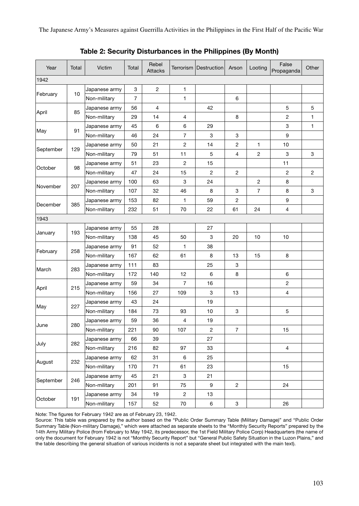The Japanese Army's Measures against Guerrilla Activities in the Philippines in the First Half of the Pacific War

| Year      | Total | Victim        | Total          | Rebel<br><b>Attacks</b> |                | Terrorism   Destruction | Arson          | Looting        | False<br>Propaganda | Other          |
|-----------|-------|---------------|----------------|-------------------------|----------------|-------------------------|----------------|----------------|---------------------|----------------|
| 1942      |       |               |                |                         |                |                         |                |                |                     |                |
|           |       | Japanese army | 3              | 2                       | $\mathbf{1}$   |                         |                |                |                     |                |
| February  | 10    | Non-military  | $\overline{7}$ |                         | $\mathbf{1}$   |                         | 6              |                |                     |                |
|           | 85    | Japanese army | 56             | $\overline{4}$          |                | 42                      |                |                | 5                   | 5              |
| April     |       | Non-military  | 29             | 14                      | $\overline{4}$ |                         | 8              |                | $\overline{c}$      | 1              |
|           | 91    | Japanese army | 45             | 6                       | 6              | 29                      |                |                | 3                   | 1              |
| May       |       | Non-military  | 46             | 24                      | $\overline{7}$ | 3                       | 3              |                | 9                   |                |
| September | 129   | Japanese army | 50             | 21                      | $\overline{2}$ | 14                      | 2              | 1              | 10                  |                |
|           |       | Non-military  | 79             | 51                      | 11             | 5                       | 4              | 2              | 3                   | 3              |
|           | 98    | Japanese army | 51             | 23                      | $\overline{2}$ | 15                      |                |                | 11                  |                |
| October   |       | Non-military  | 47             | 24                      | 15             | $\overline{2}$          | 2              |                | $\overline{c}$      | $\overline{c}$ |
|           | 207   | Japanese army | 100            | 63                      | 3              | 24                      |                | $\overline{2}$ | 8                   |                |
| November  |       | Non-military  | 107            | 32                      | 46             | 8                       | 3              | 7              | 8                   | 3              |
|           | 385   | Japanese army | 153            | 82                      | 1              | 59                      | 2              |                | 9                   |                |
| December  |       | Non-military  | 232            | 51                      | 70             | 22                      | 61             | 24             | $\overline{4}$      |                |
| 1943      |       |               |                |                         |                |                         |                |                |                     |                |
|           | 193   | Japanese army | 55             | 28                      |                | 27                      |                |                |                     |                |
| January   |       | Non-military  | 138            | 45                      | 50             | 3                       | 20             | 10             | 10                  |                |
|           | 258   | Japanese army | 91             | 52                      | 1              | 38                      |                |                |                     |                |
| February  |       | Non-military  | 167            | 62                      | 61             | 8                       | 13             | 15             | 8                   |                |
| March     | 283   | Japanese army | 111            | 83                      |                | 25                      | 3              |                |                     |                |
|           |       | Non-military  | 172            | 140                     | 12             | 6                       | 8              |                | 6                   |                |
| April     | 215   | Japanese army | 59             | 34                      | $\overline{7}$ | 16                      |                |                | $\overline{2}$      |                |
|           |       | Non-military  | 156            | 27                      | 109            | 3                       | 13             |                | $\overline{4}$      |                |
|           | 227   | Japanese army | 43             | 24                      |                | 19                      |                |                |                     |                |
| May       |       | Non-military  | 184            | 73                      | 93             | 10                      | 3              |                | 5                   |                |
| June      | 280   | Japanese army | 59             | 36                      | 4              | 19                      |                |                |                     |                |
|           |       | Non-military  | 221            | 90                      | 107            | $\overline{2}$          | 7              |                | 15                  |                |
|           | 282   | Japanese army | 66             | 39                      |                | 27                      |                |                |                     |                |
| July      |       | Non-military  | 216            | 82                      | 97             | 33                      |                |                | $\overline{4}$      |                |
| August    | 232   | Japanese army | 62             | 31                      | 6              | 25                      |                |                |                     |                |
|           |       | Non-military  | 170            | 71                      | 61             | 23                      |                |                | 15                  |                |
|           | 246   | Japanese army | 45             | 21                      | 3              | 21                      |                |                |                     |                |
| September |       | Non-military  | 201            | 91                      | 75             | 9                       | $\overline{c}$ |                | 24                  |                |
| October   | 191   | Japanese army | 34             | 19                      | $\overline{2}$ | 13                      |                |                |                     |                |
|           |       | Non-military  | 157            | 52                      | 70             | 6                       | 3              |                | 26                  |                |

Table 2: Security Disturbances in the Philippines (By Month)

Note: The figures for February 1942 are as of February 23, 1942.

Source: This table was prepared by the author based on the "Public Order Summary Table (Military Damage)" and "Public Order Summary Table (Non-military Damage)," which were attached as separate sheets to the "Monthly Security Reports" prepared by the 14th Army Military Police (from February to May 1942, its predecessor, the 1st Field Military Police Corp) Headquarters (the name of only the document for February 1942 is not "Monthly Security Report" but "General Public Safety Situation in the Luzon Plains," and the table describing the general situation of various incidents is not a separate sheet but integrated with the main text).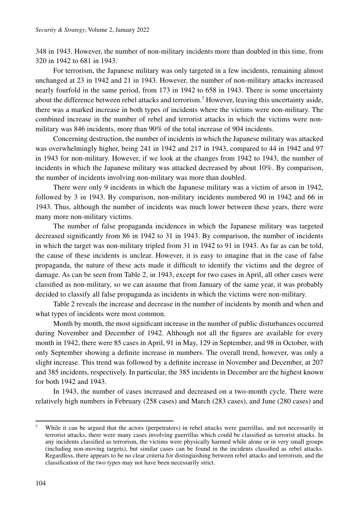348 in 1943. However, the number of non-military incidents more than doubled in this time, from 320 in 1942 to 681 in 1943.

For terrorism, the Japanese military was only targeted in a few incidents, remaining almost unchanged at 23 in 1942 and 21 in 1943. However, the number of non-military attacks increased nearly fourfold in the same period, from 173 in 1942 to 658 in 1943. There is some uncertainty about the difference between rebel attacks and terrorism.<sup>7</sup> However, leaving this uncertainty aside, there was a marked increase in both types of incidents where the victims were non-military. The combined increase in the number of rebel and terrorist attacks in which the victims were nonmilitary was 846 incidents, more than 90% of the total increase of 904 incidents.

Concerning destruction, the number of incidents in which the Japanese military was attacked was overwhelmingly higher, being 241 in 1942 and 217 in 1943, compared to 44 in 1942 and 97 in 1943 for non-military. However, if we look at the changes from 1942 to 1943, the number of incidents in which the Japanese military was attacked decreased by about 10%. By comparison, the number of incidents involving non-military was more than doubled.

There were only 9 incidents in which the Japanese military was a victim of arson in 1942, followed by 3 in 1943. By comparison, non-military incidents numbered 90 in 1942 and 66 in 1943. Thus, although the number of incidents was much lower between these years, there were many more non-military victims.

The number of false propaganda incidences in which the Japanese military was targeted decreased significantly from 86 in 1942 to 31 in 1943. By comparison, the number of incidents in which the target was non-military tripled from 31 in 1942 to 91 in 1943. As far as can be told, the cause of these incidents is unclear. However, it is easy to imagine that in the case of false propaganda, the nature of these acts made it difficult to identify the victims and the degree of damage. As can be seen from Table 2, in 1943, except for two cases in April, all other cases were classified as non-military, so we can assume that from January of the same year, it was probably decided to classify all false propaganda as incidents in which the victims were non-military.

Table 2 reveals the increase and decrease in the number of incidents by month and when and what types of incidents were most common.

Month by month, the most significant increase in the number of public disturbances occurred during November and December of 1942. Although not all the figures are available for every month in 1942, there were 85 cases in April, 91 in May, 129 in September, and 98 in October, with only September showing a definite increase in numbers. The overall trend, however, was only a slight increase. This trend was followed by a definite increase in November and December, at 207 and 385 incidents, respectively. In particular, the 385 incidents in December are the highest known for both 1942 and 1943.

In 1943, the number of cases increased and decreased on a two-month cycle. There were relatively high numbers in February (258 cases) and March (283 cases), and June (280 cases) and

<sup>&</sup>lt;sup>7</sup> While it can be argued that the actors (perpetrators) in rebel attacks were guerrillas, and not necessarily in terrorist attacks, there were many cases involving guerrillas which could be classified as terrorist attacks. In any incidents classified as terrorism, the victims were physically harmed while alone or in very small groups (including non-moving targets), but similar cases can be found in the incidents classified as rebel attacks. Regardless, there appears to be no clear criteria for distinguishing between rebel attacks and terrorism, and the classification of the two types may not have been necessarily strict.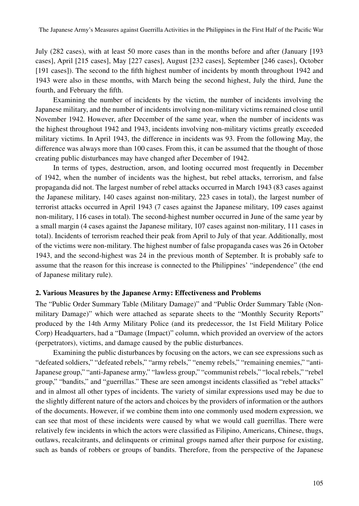July (282 cases), with at least 50 more cases than in the months before and after (January [193 cases], April [215 cases], May [227 cases], August [232 cases], September [246 cases], October [191 cases]). The second to the fifth highest number of incidents by month throughout 1942 and 1943 were also in these months, with March being the second highest, July the third, June the fourth, and February the fifth.

Examining the number of incidents by the victim, the number of incidents involving the Japanese military, and the number of incidents involving non-military victims remained close until November 1942. However, after December of the same year, when the number of incidents was the highest throughout 1942 and 1943, incidents involving non-military victims greatly exceeded military victims. In April 1943, the difference in incidents was 93. From the following May, the difference was always more than 100 cases. From this, it can be assumed that the thought of those creating public disturbances may have changed after December of 1942.

In terms of types, destruction, arson, and looting occurred most frequently in December of 1942, when the number of incidents was the highest, but rebel attacks, terrorism, and false propaganda did not. The largest number of rebel attacks occurred in March 1943 (83 cases against the Japanese military, 140 cases against non-military, 223 cases in total), the largest number of terrorist attacks occurred in April 1943 (7 cases against the Japanese military, 109 cases against non-military, 116 cases in total). The second-highest number occurred in June of the same year by a small margin (4 cases against the Japanese military, 107 cases against non-military, 111 cases in total). Incidents of terrorism reached their peak from April to July of that year. Additionally, most of the victims were non-military. The highest number of false propaganda cases was 26 in October 1943, and the second-highest was 24 in the previous month of September. It is probably safe to assume that the reason for this increase is connected to the Philippines' "independence" (the end of Japanese military rule).

#### **2. Various Measures by the Japanese Army: Effectiveness and Problems**

The "Public Order Summary Table (Military Damage)" and "Public Order Summary Table (Nonmilitary Damage)" which were attached as separate sheets to the "Monthly Security Reports" produced by the 14th Army Military Police (and its predecessor, the 1st Field Military Police Corp) Headquarters, had a "Damage (Impact)" column, which provided an overview of the actors (perpetrators), victims, and damage caused by the public disturbances.

Examining the public disturbances by focusing on the actors, we can see expressions such as "defeated soldiers," "defeated rebels," "army rebels," "enemy rebels," "remaining enemies," "anti-Japanese group," "anti-Japanese army," "lawless group," "communist rebels," "local rebels," "rebel group," "bandits," and "guerrillas." These are seen amongst incidents classified as "rebel attacks" and in almost all other types of incidents. The variety of similar expressions used may be due to the slightly different nature of the actors and choices by the providers of information or the authors of the documents. However, if we combine them into one commonly used modern expression, we can see that most of these incidents were caused by what we would call guerrillas. There were relatively few incidents in which the actors were classified as Filipino, Americans, Chinese, thugs, outlaws, recalcitrants, and delinquents or criminal groups named after their purpose for existing, such as bands of robbers or groups of bandits. Therefore, from the perspective of the Japanese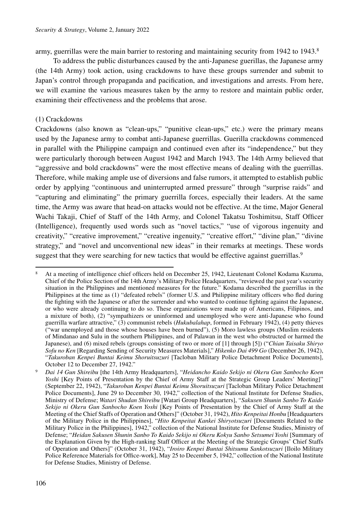army, guerrillas were the main barrier to restoring and maintaining security from 1942 to 1943.<sup>8</sup>

To address the public disturbances caused by the anti-Japanese guerillas, the Japanese army (the 14th Army) took action, using crackdowns to have these groups surrender and submit to Japan's control through propaganda and pacification, and investigations and arrests. From here, we will examine the various measures taken by the army to restore and maintain public order, examining their effectiveness and the problems that arose.

#### (1) Crackdowns

Crackdowns (also known as "clean-ups," "punitive clean-ups," etc.) were the primary means used by the Japanese army to combat anti-Japanese guerrillas. Guerilla crackdowns commenced in parallel with the Philippine campaign and continued even after its "independence," but they were particularly thorough between August 1942 and March 1943. The 14th Army believed that "aggressive and bold crackdowns" were the most effective means of dealing with the guerrillas. Therefore, while making ample use of diversions and false rumors, it attempted to establish public order by applying "continuous and uninterrupted armed pressure" through "surprise raids" and "capturing and eliminating" the primary guerrilla forces, especially their leaders. At the same time, the Army was aware that head-on attacks would not be effective. At the time, Major General Wachi Takaji, Chief of Staff of the 14th Army, and Colonel Takatsu Toshimitsu, Staff Officer (Intelligence), frequently used words such as "novel tactics," "use of vigorous ingenuity and creativity," "creative improvement," "creative ingenuity," "creative effort," "divine plan," "divine strategy," and "novel and unconventional new ideas" in their remarks at meetings. These words suggest that they were searching for new tactics that would be effective against guerrillas.<sup>9</sup>

<sup>8</sup> At a meeting of intelligence chief officers held on December 25, 1942, Lieutenant Colonel Kodama Kazuma, Chief of the Police Section of the 14th Army's Military Police Headquarters, "reviewed the past year's security situation in the Philippines and mentioned measures for the future." Kodama described the guerrillas in the Philippines at the time as (1) "defeated rebels" (former U.S. and Philippine military officers who fled during the fighting with the Japanese or after the surrender and who wanted to continue fighting against the Japanese, or who were already continuing to do so. These organizations were made up of Americans, Filipinos, and a mixture of both), (2) "sympathizers or uninformed and unemployed who were anti-Japanese who found guerrilla warfare attractive," (3) communist rebels (*Hukubalahap*, formed in February 1942), (4) petty thieves ("war unemployed and those whose houses have been burned"), (5) Moro lawless groups (Muslim residents of Mindanao and Sulu in the southern Philippines, and of Palawan in the west who obstructed or harmed the Japanese), and (6) mixed rebels (groups consisting of two or more of [1] through [5]) ("*Chian Taisaku Shiryo Sofu no Ken* [Regarding Sending of Security Measures Materials]," *Hikenko Dai 499 Go* (December 26, 1942), "*Takuroban Kenpei Buntai Keimu Shoruitsuzuri* [Tacloban Military Police Detachment Police Documents], October 12 to December 27, 1942."

<sup>9</sup> *Dai 14 Gun Shireibu* [the 14th Army Headquarters], "*Heidancho Kaido Sekijo ni Okeru Gun Sanbocho Koen Yoshi* [Key Points of Presentation by the Chief of Army Staff at the Strategic Group Leaders' Meeting]" (September 22, 1942), "*Takuroban Kenpei Buntai Keimu Shoruitsuzuri* [Tacloban Military Police Detachment Police Documents], June 29 to December 30, 1942," collection of the National Institute for Defense Studies, Ministry of Defense; *Watari Shudan Shireibu* [Watari Group Headquarters], "*Sakusen Shunin Sanbo To Kaido Sekijo ni Okeru Gun Sanbocho Koen Yoshi* [Key Points of Presentation by the Chief of Army Staff at the Meeting of the Chief Staffs of Operation and Others]" (October 31, 1942), *Hito Kenpeitai Honbu* [Headquarters of the Military Police in the Philippines], "*Hito Kenpeitai Kankei Shiryotsuzuri* [Documents Related to the Military Police in the Philippines], 1942," collection of the National Institute for Defense Studies, Ministry of Defense; "*Heidan Sakusen Shunin Sanbo To Kaido Sekijo ni Okeru Kokyu Sanbo Setsumei Yoshi* [Summary of the Explanation Given by the High-ranking Staff Officer at the Meeting of the Strategic Groups' Chief Staffs of Operation and Others]" (October 31, 1942), "*Iroiro Kenpei Buntai Shitsumu Sankotsuzuri* [Iloilo Military Police Reference Materials for Office-work], May 25 to December 5, 1942," collection of the National Institute for Defense Studies, Ministry of Defense.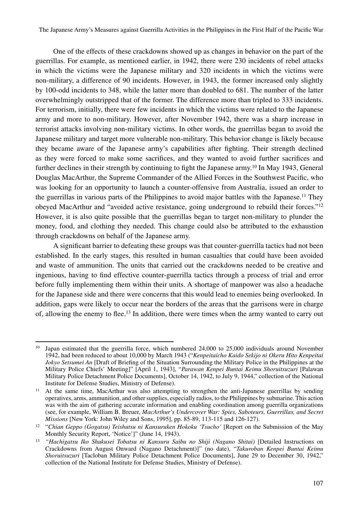One of the effects of these crackdowns showed up as changes in behavior on the part of the guerrillas. For example, as mentioned earlier, in 1942, there were 230 incidents of rebel attacks in which the victims were the Japanese military and 320 incidents in which the victims were non-military, a difference of 90 incidents. However, in 1943, the former increased only slightly by 100-odd incidents to 348, while the latter more than doubled to 681. The number of the latter overwhelmingly outstripped that of the former. The difference more than tripled to 333 incidents. For terrorism, initially, there were few incidents in which the victims were related to the Japanese army and more to non-military. However, after November 1942, there was a sharp increase in terrorist attacks involving non-military victims. In other words, the guerrillas began to avoid the Japanese military and target more vulnerable non-military. This behavior change is likely because they became aware of the Japanese army's capabilities after fighting. Their strength declined as they were forced to make some sacrifices, and they wanted to avoid further sacrifices and further declines in their strength by continuing to fight the Japanese army.<sup>10</sup> In May 1943, General Douglas MacArthur, the Supreme Commander of the Allied Forces in the Southwest Pacific, who was looking for an opportunity to launch a counter-offensive from Australia, issued an order to the guerrillas in various parts of the Philippines to avoid major battles with the Japanese.11 They obeyed MacArthur and "avoided active resistance, going underground to rebuild their forces."12 However, it is also quite possible that the guerrillas began to target non-military to plunder the money, food, and clothing they needed. This change could also be attributed to the exhaustion through crackdowns on behalf of the Japanese army.

A significant barrier to defeating these groups was that counter-guerrilla tactics had not been established. In the early stages, this resulted in human casualties that could have been avoided and waste of ammunition. The units that carried out the crackdowns needed to be creative and ingenious, having to find effective counter-guerrilla tactics through a process of trial and error before fully implementing them within their units. A shortage of manpower was also a headache for the Japanese side and there were concerns that this would lead to enemies being overlooked. In addition, gaps were likely to occur near the borders of the areas that the garrisons were in charge of, allowing the enemy to flee.13 In addition, there were times when the army wanted to carry out

 $10$  Japan estimated that the guerrilla force, which numbered 24,000 to 25,000 individuals around November 1942, had been reduced to about 10,000 by March 1943 ("*Kenpeitaicho Kaido Sekijo ni Okeru Hito Kenpeitai Jokyo Setsumei An* [Draft of Briefing of the Situation Surrounding the Military Police in the Philippines at the Military Police Chiefs' Meeting]" [April 1, 1943], "*Parawan Kenpei Buntai Keimu Shoruitsuzuri* [Palawan Military Police Detachment Police Documents], October 14, 1942, to July 9, 1944," collection of the National Institute for Defense Studies, Ministry of Defense).

<sup>&</sup>lt;sup>11</sup> At the same time, MacArthur was also attempting to strengthen the anti-Japanese guerrillas by sending operatives, arms, ammunition, and other supplies, especially radios, to the Philippines by submarine. This action was with the aim of gathering accurate information and enabling coordination among guerrilla organizations (see, for example, William B. Breuer, *MacArthur's Undercover War: Spies, Saboteurs, Guerrillas, and Secret Missions* [New York: John Wiley and Sons, 1995], pp. 85-89, 113-115 and 126-127).<br><sup>12</sup> "*Chian Geppo (Gogatsu) Teishutsu ni Kansuruken Hokoku 'Tsucho'* [Report on the Submission of the May

Monthly Security Report, 'Notice']" (June 14, 1943).

<sup>&</sup>lt;sup>13</sup> "Hachigatsu Iko Shukusei Tobatsu ni Kansuru Saibu no Shiji (Nagano Shitai) [Detailed Instructions on Crackdowns from August Onward (Nagano Detachment)]" (no date), "*Takuroban Kenpei Buntai Keimu Shoruitsuzuri* [Tacloban Military Police Detachment Police Documents], June 29 to December 30, 1942," collection of the National Institute for Defense Studies, Ministry of Defense).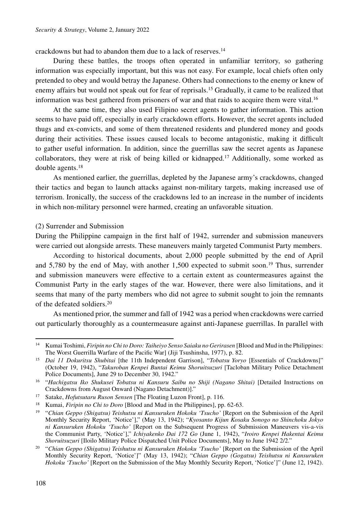crackdowns but had to abandon them due to a lack of reserves.14

During these battles, the troops often operated in unfamiliar territory, so gathering information was especially important, but this was not easy. For example, local chiefs often only pretended to obey and would betray the Japanese. Others had connections to the enemy or knew of enemy affairs but would not speak out for fear of reprisals.15 Gradually, it came to be realized that information was best gathered from prisoners of war and that raids to acquire them were vital.<sup>16</sup>

At the same time, they also used Filipino secret agents to gather information. This action seems to have paid off, especially in early crackdown efforts. However, the secret agents included thugs and ex-convicts, and some of them threatened residents and plundered money and goods during their activities. These issues caused locals to become antagonistic, making it difficult to gather useful information. In addition, since the guerrillas saw the secret agents as Japanese collaborators, they were at risk of being killed or kidnapped.17 Additionally, some worked as double agents.18

As mentioned earlier, the guerrillas, depleted by the Japanese army's crackdowns, changed their tactics and began to launch attacks against non-military targets, making increased use of terrorism. Ironically, the success of the crackdowns led to an increase in the number of incidents in which non-military personnel were harmed, creating an unfavorable situation.

#### (2) Surrender and Submission

During the Philippine campaign in the first half of 1942, surrender and submission maneuvers were carried out alongside arrests. These maneuvers mainly targeted Communist Party members.

According to historical documents, about 2,000 people submitted by the end of April and 5,780 by the end of May, with another 1,500 expected to submit soon.19 Thus, surrender and submission maneuvers were effective to a certain extent as countermeasures against the Communist Party in the early stages of the war. However, there were also limitations, and it seems that many of the party members who did not agree to submit sought to join the remnants of the defeated soldiers.20

As mentioned prior, the summer and fall of 1942 was a period when crackdowns were carried out particularly thoroughly as a countermeasure against anti-Japanese guerrillas. In parallel with

<sup>14</sup> Kumai Toshimi, *Firipin no Chi to Doro: Taiheiyo Senso Saiaku no Gerirasen* [Blood and Mud in the Philippines: The Worst Guerrilla Warfare of the Pacific War] (Jiji Tsushinsha, 1977), p. 82.

<sup>15</sup> *Dai 11 Dokuritsu Shubitai* [the 11th Independent Garrison], "*Tobatsu Yoryo* [Essentials of Crackdowns]" (October 19, 1942), "*Takuroban Kenpei Buntai Keimu Shoruitsuzuri* [Tacloban Military Police Detachment Police Documents], June 29 to December 30, 1942."

<sup>16</sup> "*Hachigatsu Iko Shukusei Tobatsu ni Kansuru Saibu no Shiji (Nagano Shitai)* [Detailed Instructions on Crackdowns from August Onward (Nagano Detachment)]." 17 Satake, *Hofutsutaru Ruson Sensen* [The Floating Luzon Front], p. 116.

<sup>18</sup> Kumai, *Firipin no Chi to Doro* [Blood and Mud in the Philippines], pp. 62-63.

<sup>19</sup> "*Chian Geppo (Shigatsu) Teishutsu ni Kansuruken Hokoku 'Tsucho'* [Report on the Submission of the April Monthly Security Report, 'Notice']," (May 13, 1942); "*Kyosanto Kijun Kosaku Sonogo no Shinchoku Jokyo ni Kansuruken Hokoku 'Tsucho'* [Report on the Subsequent Progress of Submission Maneuvers vis-a-vis the Communist Party, 'Notice']," *Ichiyakenko Dai 172 Go* (June 1, 1942), "*Iroiro Kenpei Hakentai Keimu Shoruitsuzuri* [Iloilo Military Police Dispatched Unit Police Documents], May to June 1942 2/2."

<sup>20</sup> "*Chian Geppo (Shigatsu) Teishutsu ni Kansuruken Hokoku 'Tsucho'* [Report on the Submission of the April Monthly Security Report, 'Notice']" (May 13, 1942); "*Chian Geppo (Gogatsu) Teishutsu ni Kansuruken Hokoku 'Tsucho'* [Report on the Submission of the May Monthly Security Report, 'Notice']" (June 12, 1942).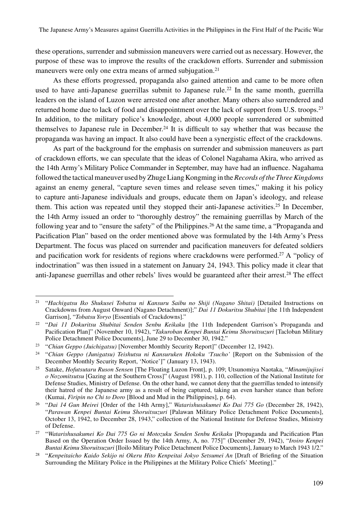these operations, surrender and submission maneuvers were carried out as necessary. However, the purpose of these was to improve the results of the crackdown efforts. Surrender and submission maneuvers were only one extra means of armed subjugation.<sup>21</sup>

As these efforts progressed, propaganda also gained attention and came to be more often used to have anti-Japanese guerrillas submit to Japanese rule.<sup>22</sup> In the same month, guerrilla leaders on the island of Luzon were arrested one after another. Many others also surrendered and returned home due to lack of food and disappointment over the lack of support from U.S. troops.<sup>23</sup> In addition, to the military police's knowledge, about 4,000 people surrendered or submitted themselves to Japanese rule in December.<sup>24</sup> It is difficult to say whether that was because the propaganda was having an impact. It also could have been a synergistic effect of the crackdowns.

As part of the background for the emphasis on surrender and submission maneuvers as part of crackdown efforts, we can speculate that the ideas of Colonel Nagahama Akira, who arrived as the 14th Army's Military Police Commander in September, may have had an influence. Nagahama followed the tactical maneuver used by Zhuge Liang Kongming in the *Records of the Three Kingdoms* against an enemy general, "capture seven times and release seven times," making it his policy to capture anti-Japanese individuals and groups, educate them on Japan's ideology, and release them. This action was repeated until they stopped their anti-Japanese activities.25 In December, the 14th Army issued an order to "thoroughly destroy" the remaining guerrillas by March of the following year and to "ensure the safety" of the Philippines.26 At the same time, a "Propaganda and Pacification Plan" based on the order mentioned above was formulated by the 14th Army's Press Department. The focus was placed on surrender and pacification maneuvers for defeated soldiers and pacification work for residents of regions where crackdowns were performed.<sup>27</sup> A "policy of indoctrination" was then issued in a statement on January 24, 1943. This policy made it clear that anti-Japanese guerrillas and other rebels' lives would be guaranteed after their arrest.28 The effect

<sup>21</sup> "*Hachigatsu Iko Shukusei Tobatsu ni Kansuru Saibu no Shiji (Nagano Shitai)* [Detailed Instructions on Crackdowns from August Onward (Nagano Detachment)];" *Dai 11 Dokuritsu Shubitai* [the 11th Independent Garrison], "*Tobatsu Yoryo* [Essentials of Crackdowns]."

<sup>22</sup> "*Dai 11 Dokuritsu Shubitai Senden Senbu Keikaku* [the 11th Independent Garrison's Propaganda and Pacification Plan]" (November 10, 1942), "*Takuroban Kenpei Buntai Keimu Shoruitsuzuri* [Tacloban Military Police Detachment Police Documents], June 29 to December 30, 1942."

<sup>23</sup> "*Chian Geppo (Juichigatsu)* [November Monthly Security Report]" (December 12, 1942).

<sup>24</sup> "*Chian Geppo (Junigatsu) Teishutsu ni Kansuruken Hokoku 'Tsucho'* [Report on the Submission of the December Monthly Security Report, 'Notice']" (January 13, 1943).

<sup>25</sup> Satake, *Hofutsutaru Ruson Sensen* [The Floating Luzon Front], p. 109; Utsunomiya Naotaka, "*Minamijujisei o Nozomitsutsu* [Gazing at the Southern Cross]" (August 1981), p. 110, collection of the National Institute for Defense Studies, Ministry of Defense. On the other hand, we cannot deny that the guerrillas tended to intensify their hatred of the Japanese army as a result of being captured, taking an even harsher stance than before (Kumai, *Firipin no Chi to Doro* [Blood and Mud in the Philippines], p. 64).

<sup>26</sup> "*Dai 14 Gun Meirei* [Order of the 14th Army]," *Watarishusakumei Ko Dai 775 Go* (December 28, 1942), "*Parawan Kenpei Buntai Keimu Shoruitsuzuri* [Palawan Military Police Detachment Police Documents], October 13, 1942, to December 28, 1943," collection of the National Institute for Defense Studies, Ministry of Defense.

<sup>27</sup> "*Watarishusakumei Ko Dai 775 Go ni Motozuku Senden Senbu Keikaku* [Propaganda and Pacification Plan Based on the Operation Order Issued by the 14th Army, A, no. 775]" (December 29, 1942), "*Iroiro Kenpei Buntai Keimu Shoruitsuzuri* [Iloilo Military Police Detachment Police Documents], January to March 1943 1/2."

<sup>28</sup> "*Kenpeitaicho Kaido Sekijo ni Okeru Hito Kenpeitai Jokyo Setsumei An* [Draft of Briefing of the Situation Surrounding the Military Police in the Philippines at the Military Police Chiefs' Meeting]."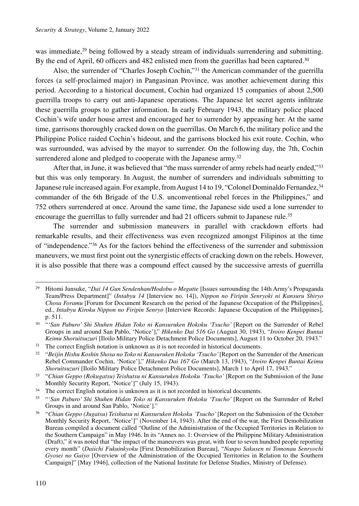was immediate,<sup>29</sup> being followed by a steady stream of individuals surrendering and submitting. By the end of April, 60 officers and 482 enlisted men from the guerillas had been captured.<sup>30</sup>

Also, the surrender of "Charles Joseph Cochin,"31 the American commander of the guerrilla forces (a self-proclaimed major) in Pangasinan Province, was another achievement during this period. According to a historical document, Cochin had organized 15 companies of about 2,500 guerrilla troops to carry out anti-Japanese operations. The Japanese let secret agents infiltrate these guerrilla groups to gather information. In early February 1943, the military police placed Cochin's wife under house arrest and encouraged her to surrender by appeasing her. At the same time, garrisons thoroughly cracked down on the guerrillas. On March 6, the military police and the Philippine Police raided Cochin's hideout, and the garrisons blocked his exit route. Cochin, who was surrounded, was advised by the mayor to surrender. On the following day, the 7th, Cochin surrendered alone and pledged to cooperate with the Japanese army.<sup>32</sup>

After that, in June, it was believed that "the mass surrender of army rebels had nearly ended,"<sup>33</sup> but this was only temporary. In August, the number of surrenders and individuals submitting to Japanese rule increased again. For example, from August 14 to 19, "Colonel Dominaldo Fernandez,<sup>34</sup> commander of the 6th Brigade of the U.S. unconventional rebel forces in the Philippines," and 752 others surrendered at once. Around the same time, the Japanese side used a lone surrender to encourage the guerrillas to fully surrender and had 21 officers submit to Japanese rule.<sup>35</sup>

The surrender and submission maneuvers in parallel with crackdown efforts had remarkable results, and their effectiveness was even recognized amongst Filipinos at the time of "independence."36 As for the factors behind the effectiveness of the surrender and submission maneuvers, we must first point out the synergistic effects of cracking down on the rebels. However, it is also possible that there was a compound effect caused by the successive arrests of guerrilla

<sup>29</sup> Hitomi Junsuke, "*Dai 14 Gun Sendenhan/Hodobu o Megutte* [Issues surrounding the 14th Army's Propaganda Team/Press Department]" (*Intabyu 14* [Interview no. 14]), *Nippon no Firipin Senryoki ni Kansuru Shiryo Chosa Foramu* [Forum for Document Research on the period of the Japanese Occupation of the Philippines], ed., *Intabyu Kiroku Nippon no Firipin Senryo* [Interview Records: Japanese Occupation of the Philippines], p. 511.

<sup>&</sup>lt;sup>30</sup> "'San Paburo' Shi Shuhen Hidan Toko ni Kansuruken Hokoku 'Tsucho' [Report on the Surrender of Rebel Groups in and around San Pablo, 'Notice']," *Hikenko Dai 516 Go* (August 30, 1943), "*Iroiro Kenpei Buntai Keimu Shoruitsuzuri* [Iloilo Military Police Detachment Police Documents], August 11 to October 20, 1943."

<sup>&</sup>lt;sup>31</sup> The correct English notation is unknown as it is not recorded in historical documents.

<sup>&</sup>lt;sup>32</sup> "Beijin Hishu Koshin Shosa no Toko ni Kansuruken Hokoku 'Tsucho' [Report on the Surrender of the American Rebel Commander Cochin, 'Notice']," *Hikenko Dai 167 Go* (March 13, 1943), "*Iroiro Kenpei Buntai Keimu Shoruitsuzuri* [Iloilo Military Police Detachment Police Documents], March 1 to April 17, 1943."

<sup>33</sup> "*Chian Geppo (Rokugatsu) Teishutsu ni Kansuruken Hokoku 'Tsucho'* [Report on the Submission of the June Monthly Security Report, 'Notice']" (July 15, 1943).

<sup>&</sup>lt;sup>34</sup> The correct English notation is unknown as it is not recorded in historical documents.

<sup>&</sup>lt;sup>35</sup> "'San Paburo' Shi Shuhen Hidan Toko ni Kansuruken Hokoku 'Tsucho' [Report on the Surrender of Rebel Groups in and around San Pablo, 'Notice']."

<sup>&</sup>lt;sup>36</sup> "Chian Geppo (Jugatsu) Teishutsu ni Kansuruken Hokoku 'Tsucho' [Report on the Submission of the October Monthly Security Report, 'Notice']" (November 14, 1943). After the end of the war, the First Demobilization Bureau compiled a document called "Outline of the Administration of the Occupied Territories in Relation to the Southern Campaign" in May 1946. In its "Annex no. 1: Overview of the Philippine Military Administration (Draft)," it was noted that "the impact of the maneuvers was great, with four to seven hundred people reporting every month" (*Daiichi Fukuinkyoku* [First Demobilization Bureau], "*Nanpo Sakusen ni Tomonau Senryochi Gyosei no Gaiyo* [Overview of the Administration of the Occupied Territories in Relation to the Southern Campaign]" [May 1946], collection of the National Institute for Defense Studies, Ministry of Defense).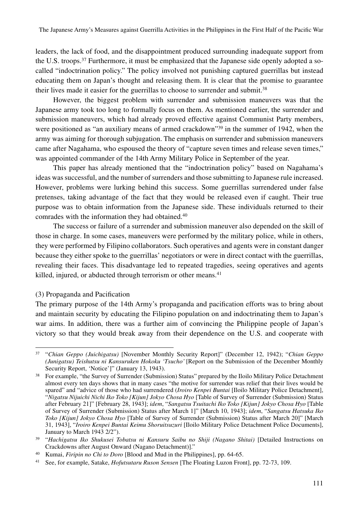leaders, the lack of food, and the disappointment produced surrounding inadequate support from the U.S. troops.37 Furthermore, it must be emphasized that the Japanese side openly adopted a socalled "indoctrination policy." The policy involved not punishing captured guerrillas but instead educating them on Japan's thought and releasing them. It is clear that the promise to guarantee their lives made it easier for the guerrillas to choose to surrender and submit.<sup>38</sup>

However, the biggest problem with surrender and submission maneuvers was that the Japanese army took too long to formally focus on them. As mentioned earlier, the surrender and submission maneuvers, which had already proved effective against Communist Party members, were positioned as "an auxiliary means of armed crackdown"<sup>39</sup> in the summer of 1942, when the army was aiming for thorough subjugation. The emphasis on surrender and submission maneuvers came after Nagahama, who espoused the theory of "capture seven times and release seven times," was appointed commander of the 14th Army Military Police in September of the year.

This paper has already mentioned that the "indoctrination policy" based on Nagahama's ideas was successful, and the number of surrenders and those submitting to Japanese rule increased. However, problems were lurking behind this success. Some guerrillas surrendered under false pretenses, taking advantage of the fact that they would be released even if caught. Their true purpose was to obtain information from the Japanese side. These individuals returned to their comrades with the information they had obtained.40

The success or failure of a surrender and submission maneuver also depended on the skill of those in charge. In some cases, maneuvers were performed by the military police, while in others, they were performed by Filipino collaborators. Such operatives and agents were in constant danger because they either spoke to the guerrillas' negotiators or were in direct contact with the guerrillas, revealing their faces. This disadvantage led to repeated tragedies, seeing operatives and agents killed, injured, or abducted through terrorism or other means.<sup>41</sup>

### (3) Propaganda and Pacification

The primary purpose of the 14th Army's propaganda and pacification efforts was to bring about and maintain security by educating the Filipino population on and indoctrinating them to Japan's war aims. In addition, there was a further aim of convincing the Philippine people of Japan's victory so that they would break away from their dependence on the U.S. and cooperate with

<sup>37</sup> "*Chian Geppo (Juichigatsu)* [November Monthly Security Report]" (December 12, 1942); "*Chian Geppo (Junigatsu) Teishutsu ni Kansuruken Hokoku 'Tsucho'* [Report on the Submission of the December Monthly Security Report, 'Notice']" (January 13, 1943).

<sup>&</sup>lt;sup>38</sup> For example, "the Survey of Surrender (Submission) Status" prepared by the Iloilo Military Police Detachment almost every ten days shows that in many cases "the motive for surrender was relief that their lives would be spared" and "advice of those who had surrendered (*Iroiro Kenpei Buntai* [Iloilo Military Police Detachment], "*Nigatsu Nijuichi Nichi Iko Toko [Kijun] Jokyo Chosa Hyo* [Table of Survey of Surrender (Submission) Status after February 21]" [February 28, 1943]; *idem*, "*Sangatsu Tsuitachi Iko Toko [Kijun] Jokyo Chosa Hyo* [Table of Survey of Surrender (Submission) Status after March 1]" [March 10, 1943]; *idem*, "*Sangatsu Hatsuka Iko Toko [Kijun] Jokyo Chosa Hyo* [Table of Survey of Surrender (Submission) Status after March 20]" [March 31, 1943], "*Iroiro Kenpei Buntai Keimu Shoruitsuzuri* [Iloilo Military Police Detachment Police Documents], January to March 1943 2/2").

<sup>39</sup> "*Hachigatsu Iko Shukusei Tobatsu ni Kansuru Saibu no Shiji (Nagano Shitai)* [Detailed Instructions on Crackdowns after August Onward (Nagano Detachment)]."

<sup>40</sup> Kumai, *Firipin no Chi to Doro* [Blood and Mud in the Philippines], pp. 64-65.

<sup>41</sup> See, for example, Satake, *Hofutsutaru Ruson Sensen* [The Floating Luzon Front], pp. 72-73, 109.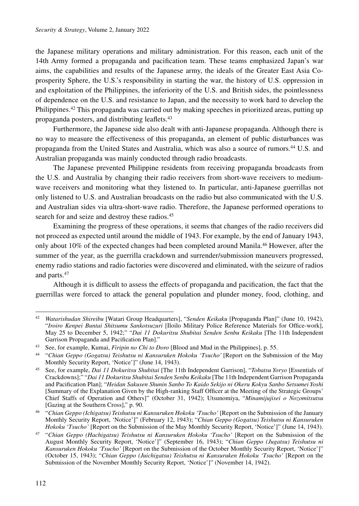the Japanese military operations and military administration. For this reason, each unit of the 14th Army formed a propaganda and pacification team. These teams emphasized Japan's war aims, the capabilities and results of the Japanese army, the ideals of the Greater East Asia Coprosperity Sphere, the U.S.'s responsibility in starting the war, the history of U.S. oppression in and exploitation of the Philippines, the inferiority of the U.S. and British sides, the pointlessness of dependence on the U.S. and resistance to Japan, and the necessity to work hard to develop the Philippines.<sup>42</sup> This propaganda was carried out by making speeches in prioritized areas, putting up propaganda posters, and distributing leaflets.43

Furthermore, the Japanese side also dealt with anti-Japanese propaganda. Although there is no way to measure the effectiveness of this propaganda, an element of public disturbances was propaganda from the United States and Australia, which was also a source of rumors.44 U.S. and Australian propaganda was mainly conducted through radio broadcasts.

The Japanese prevented Philippine residents from receiving propaganda broadcasts from the U.S. and Australia by changing their radio receivers from short-wave receivers to mediumwave receivers and monitoring what they listened to. In particular, anti-Japanese guerrillas not only listened to U.S. and Australian broadcasts on the radio but also communicated with the U.S. and Australian sides via ultra-short-wave radio. Therefore, the Japanese performed operations to search for and seize and destroy these radios.<sup>45</sup>

Examining the progress of these operations, it seems that changes of the radio receivers did not proceed as expected until around the middle of 1943. For example, by the end of January 1943, only about 10% of the expected changes had been completed around Manila.<sup>46</sup> However, after the summer of the year, as the guerrilla crackdown and surrender/submission maneuvers progressed, enemy radio stations and radio factories were discovered and eliminated, with the seizure of radios and parts.47

Although it is difficult to assess the effects of propaganda and pacification, the fact that the guerrillas were forced to attack the general population and plunder money, food, clothing, and

<sup>42</sup> *Watarishudan Shireibu* [Watari Group Headquarters], "*Senden Keikaku* [Propaganda Plan]" (June 10, 1942), "*Iroiro Kenpei Buntai Shitsumu Sankotsuzuri* [Iloilo Military Police Reference Materials for Office-work], May 25 to December 5, 1942;" "*Dai 11 Dokuritsu Shubitai Senden Senbu Keikaku* [The 11th Independent Garrison Propaganda and Pacification Plan]."

<sup>43</sup> See, for example, Kumai, *Firipin no Chi to Doro* [Blood and Mud in the Philippines], p. 55.

<sup>44</sup> "*Chian Geppo (Gogatsu) Teishutsu ni Kansuruken Hokoku 'Tsucho'* [Report on the Submission of the May Monthly Security Report, 'Notice']" (June 14, 1943).

<sup>45</sup> See, for example, *Dai 11 Dokuritsu Shubitai* [The 11th Independent Garrison], "*Tobatsu Yoryo* [Essentials of Crackdowns];" "*Dai 11 Dokuritsu Shubitai Senden Senbu Keikaku* [The 11th Independent Garrison Propaganda and Pacification Plan]; "*Heidan Sakusen Shunin Sanbo To Kaido Sekijo ni Okeru Kokyu Sanbo Setsumei Yoshi* [Summary of the Explanation Given by the High-ranking Staff Officer at the Meeting of the Strategic Groups' Chief Staffs of Operation and Others]" (October 31, 1942); Utsunomiya, "*Minamijujisei o Nozomitsutsu* [Gazing at the Southern Cross]," p. 90.

<sup>46</sup> "*Chian Geppo (Ichigatsu) Teishutsu ni Kansuruken Hokoku 'Tsucho'* [Report on the Submission of the January Monthly Security Report, 'Notice']" (February 12, 1943); "*Chian Geppo (Gogatsu) Teishutsu ni Kansuruken Hokoku 'Tsucho'* [Report on the Submission of the May Monthly Security Report, 'Notice']" (June 14, 1943).

<sup>47</sup> "*Chian Geppo (Hachigatsu) Teishutsu ni Kansuruken Hokoku 'Tsucho'* [Report on the Submission of the August Monthly Security Report, 'Notice']" (September 16, 1943); "*Chian Geppo (Jugatsu) Teishutsu ni Kansuruken Hokoku 'Tsucho'* [Report on the Submission of the October Monthly Security Report, 'Notice']" (October 15, 1943); "*Chian Geppo (Juichigatsu) Teishutsu ni Kansuruken Hokoku 'Tsucho'* [Report on the Submission of the November Monthly Security Report, 'Notice']" (November 14, 1942).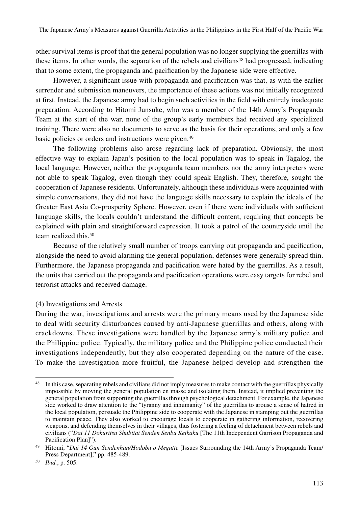other survival items is proof that the general population was no longer supplying the guerrillas with these items. In other words, the separation of the rebels and civilians<sup>48</sup> had progressed, indicating that to some extent, the propaganda and pacification by the Japanese side were effective.

However, a significant issue with propaganda and pacification was that, as with the earlier surrender and submission maneuvers, the importance of these actions was not initially recognized at first. Instead, the Japanese army had to begin such activities in the field with entirely inadequate preparation. According to Hitomi Junsuke, who was a member of the 14th Army's Propaganda Team at the start of the war, none of the group's early members had received any specialized training. There were also no documents to serve as the basis for their operations, and only a few basic policies or orders and instructions were given.49

The following problems also arose regarding lack of preparation. Obviously, the most effective way to explain Japan's position to the local population was to speak in Tagalog, the local language. However, neither the propaganda team members nor the army interpreters were not able to speak Tagalog, even though they could speak English. They, therefore, sought the cooperation of Japanese residents. Unfortunately, although these individuals were acquainted with simple conversations, they did not have the language skills necessary to explain the ideals of the Greater East Asia Co-prosperity Sphere. However, even if there were individuals with sufficient language skills, the locals couldn't understand the difficult content, requiring that concepts be explained with plain and straightforward expression. It took a patrol of the countryside until the team realized this.<sup>50</sup>

Because of the relatively small number of troops carrying out propaganda and pacification, alongside the need to avoid alarming the general population, defenses were generally spread thin. Furthermore, the Japanese propaganda and pacification were hated by the guerrillas. As a result, the units that carried out the propaganda and pacification operations were easy targets for rebel and terrorist attacks and received damage.

### (4) Investigations and Arrests

During the war, investigations and arrests were the primary means used by the Japanese side to deal with security disturbances caused by anti-Japanese guerrillas and others, along with crackdowns. These investigations were handled by the Japanese army's military police and the Philippine police. Typically, the military police and the Philippine police conducted their investigations independently, but they also cooperated depending on the nature of the case. To make the investigation more fruitful, the Japanese helped develop and strengthen the

In this case, separating rebels and civilians did not imply measures to make contact with the guerrillas physically impossible by moving the general population en masse and isolating them. Instead, it implied preventing the general population from supporting the guerrillas through psychological detachment. For example, the Japanese side worked to draw attention to the "tyranny and inhumanity" of the guerrillas to arouse a sense of hatred in the local population, persuade the Philippine side to cooperate with the Japanese in stamping out the guerrillas to maintain peace. They also worked to encourage locals to cooperate in gathering information, recovering weapons, and defending themselves in their villages, thus fostering a feeling of detachment between rebels and civilians ("*Dai 11 Dokuritsu Shubitai Senden Senbu Keikaku* [The 11th Independent Garrison Propaganda and Pacification Plan]").

<sup>49</sup> Hitomi, "*Dai 14 Gun Sendenhan/Hodobu o Megutte* [Issues Surrounding the 14th Army's Propaganda Team/ Press Department]," pp. 485-489.

<sup>50</sup> *Ibid.*, p. 505.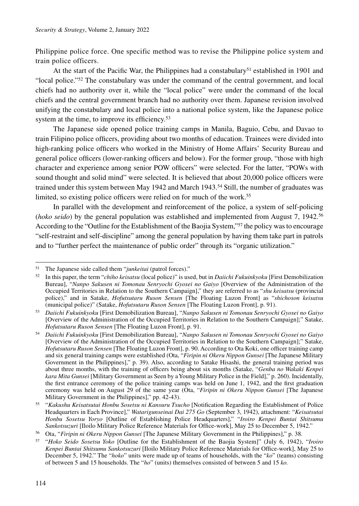Philippine police force. One specific method was to revise the Philippine police system and train police officers.

At the start of the Pacific War, the Philippines had a constabulary<sup>51</sup> established in 1901 and "local police."52 The constabulary was under the command of the central government, and local chiefs had no authority over it, while the "local police" were under the command of the local chiefs and the central government branch had no authority over them. Japanese revision involved unifying the constabulary and local police into a national police system, like the Japanese police system at the time, to improve its efficiency.<sup>53</sup>

The Japanese side opened police training camps in Manila, Baguio, Cebu, and Davao to train Filipino police officers, providing about two months of education. Trainees were divided into high-ranking police officers who worked in the Ministry of Home Affairs' Security Bureau and general police officers (lower-ranking officers and below). For the former group, "those with high character and experience among senior POW officers" were selected. For the latter, "POWs with sound thought and solid mind" were selected. It is believed that about 20,000 police officers were trained under this system between May 1942 and March 1943.54 Still, the number of graduates was limited, so existing police officers were relied on for much of the work.<sup>55</sup>

In parallel with the development and reinforcement of the police, a system of self-policing (*hoko seido*) by the general population was established and implemented from August 7, 1942.56 According to the "Outline for the Establishment of the Baojia System,"<sup>57</sup> the policy was to encourage "self-restraint and self-discipline" among the general population by having them take part in patrols and to "further perfect the maintenance of public order" through its "organic utilization."

<sup>51</sup> The Japanese side called them "*junkeitai* (patrol forces)."

<sup>52</sup> In this paper, the term "*chiho keisatsu* (local police)" is used, but in *Daiichi Fukuinkyoku* [First Demobilization Bureau], "*Nanpo Sakusen ni Tomonau Senryochi Gyosei no Gaiyo* [Overview of the Administration of the Occupied Territories in Relation to the Southern Campaign]," they are referred to as "*shu keisatsu* (provincial police)," and in Satake, *Hofutsutaru Ruson Sensen* [The Floating Luzon Front] as "*shichoson keisatsu* (municipal police)" (Satake, *Hofutsutaru Ruson Sensen* [The Floating Luzon Front], p. 91).

<sup>53</sup> *Daiichi Fukuinkyoku* [First Demobilization Bureau], "*Nanpo Sakusen ni Tomonau Senryochi Gyosei no Gaiyo* [Overview of the Administration of the Occupied Territories in Relation to the Southern Campaign];" Satake, *Hofutsutaru Ruson Sensen* [The Floating Luzon Front], p. 91.

<sup>54</sup> *Daiichi Fukuinkyoku* [First Demobilization Bureau], "*Nanpo Sakusen ni Tomonau Senryochi Gyosei no Gaiyo* [Overview of the Administration of the Occupied Territories in Relation to the Southern Campaign];" Satake, *Hofutsutaru Ruson Sensen* [The Floating Luzon Front], p. 90. According to Ota Koki, one officer training camp and six general training camps were established (Ota, "*Firipin ni Okeru Nippon Gunsei* [The Japanese Military Government in the Philippines]," p. 39). Also, according to Satake Hisashi, the general training period was about three months, with the training of officers being about six months (Satake, "*Genba no Wakaki Kenpei kara Mita Gunsei* [Military Government as Seen by a Young Military Police in the Field]," p. 260). Incidentally, the first entrance ceremony of the police training camps was held on June 1, 1942, and the first graduation ceremony was held on August 29 of the same year (Ota, "*Firipin ni Okeru Nippon Gunsei* [The Japanese Military Government in the Philippines]," pp. 42-43).

<sup>&</sup>lt;sup>55</sup> "Kakushu Keisatsutai Honbu Sosetsu ni Kansuru Tsucho [Notification Regarding the Establishment of Police Headquarters in Each Province]," *Watarigunseinai Dai 275 Go* (September 3, 1942), attachment: "*Keisatsutai Honbu Sosetsu Yoryo* [Outline of Establishing Police Headquarters]," "*Iroiro Kenpei Buntai Shitsumu Sankotsuzuri* [Iloilo Military Police Reference Materials for Office-work], May 25 to December 5, 1942."

<sup>56</sup> Ota, "*Firipin ni Okeru Nippon Gunsei* [The Japanese Military Government in the Philippines]," p. 38.

<sup>57</sup> "*Hoko Seido Sosetsu Yoko* [Outline for the Establishment of the Baojia System]" (July 6, 1942), "*Iroiro Kenpei Buntai Shitsumu Sankotsuzuri* [Iloilo Military Police Reference Materials for Office-work], May 25 to December 5, 1942." The "*hoko*" units were made up of teams of households, with the "*ko*" (teams) consisting of between 5 and 15 households. The "*ho*" (units) themselves consisted of between 5 and 15 *ko.*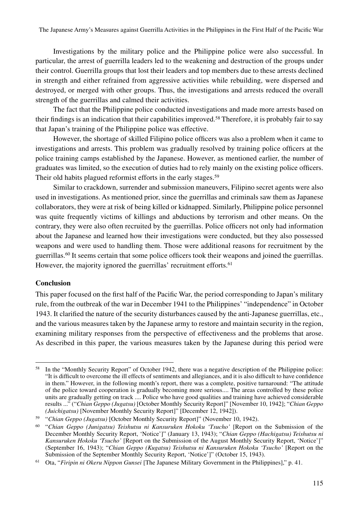Investigations by the military police and the Philippine police were also successful. In particular, the arrest of guerrilla leaders led to the weakening and destruction of the groups under their control. Guerrilla groups that lost their leaders and top members due to these arrests declined in strength and either refrained from aggressive activities while rebuilding, were dispersed and destroyed, or merged with other groups. Thus, the investigations and arrests reduced the overall strength of the guerrillas and calmed their activities.

The fact that the Philippine police conducted investigations and made more arrests based on their findings is an indication that their capabilities improved.<sup>58</sup> Therefore, it is probably fair to say that Japan's training of the Philippine police was effective.

However, the shortage of skilled Filipino police officers was also a problem when it came to investigations and arrests. This problem was gradually resolved by training police officers at the police training camps established by the Japanese. However, as mentioned earlier, the number of graduates was limited, so the execution of duties had to rely mainly on the existing police officers. Their old habits plagued reformist efforts in the early stages.<sup>59</sup>

Similar to crackdown, surrender and submission maneuvers, Filipino secret agents were also used in investigations. As mentioned prior, since the guerrillas and criminals saw them as Japanese collaborators, they were at risk of being killed or kidnapped. Similarly, Philippine police personnel was quite frequently victims of killings and abductions by terrorism and other means. On the contrary, they were also often recruited by the guerrillas. Police officers not only had information about the Japanese and learned how their investigations were conducted, but they also possessed weapons and were used to handling them. Those were additional reasons for recruitment by the guerrillas.<sup>60</sup> It seems certain that some police officers took their weapons and joined the guerrillas. However, the majority ignored the guerrillas' recruitment efforts.<sup>61</sup>

### **Conclusion**

This paper focused on the first half of the Pacific War, the period corresponding to Japan's military rule, from the outbreak of the war in December 1941 to the Philippines' "independence" in October 1943. It clarified the nature of the security disturbances caused by the anti-Japanese guerrillas, etc., and the various measures taken by the Japanese army to restore and maintain security in the region, examining military responses from the perspective of effectiveness and the problems that arose. As described in this paper, the various measures taken by the Japanese during this period were

<sup>58</sup> In the "Monthly Security Report" of October 1942, there was a negative description of the Philippine police: "It is difficult to overcome the ill effects of sentiments and allegiances, and it is also difficult to have confidence in them." However, in the following month's report, there was a complete, positive turnaround: "The attitude of the police toward cooperation is gradually becoming more serious.... The areas controlled by these police units are gradually getting on track .... Police who have good qualities and training have achieved considerable results ..." ("*Chian Geppo (Jugatsu)* [October Monthly Security Report]" [November 10, 1942]; "*Chian Geppo (Juichigatsu)* [November Monthly Security Report]" [December 12, 1942]).

<sup>59</sup> "*Chian Geppo (Jugatsu)* [October Monthly Security Report]" (November 10, 1942).

<sup>60</sup> "*Chian Geppo (Junigatsu) Teishutsu ni Kansuruken Hokoku 'Tsucho'* [Report on the Submission of the December Monthly Security Report, 'Notice']" (January 13, 1943); "*Chian Geppo (Hachigatsu) Teishutsu ni Kansuruken Hokoku 'Tsucho'* [Report on the Submission of the August Monthly Security Report, 'Notice']" (September 16, 1943); "*Chian Geppo (Kugatsu) Teishutsu ni Kansuruken Hokoku 'Tsucho'* [Report on the Submission of the September Monthly Security Report, 'Notice']" (October 15, 1943).

<sup>61</sup> Ota, "*Firipin ni Okeru Nippon Gunsei* [The Japanese Military Government in the Philippines]," p. 41.